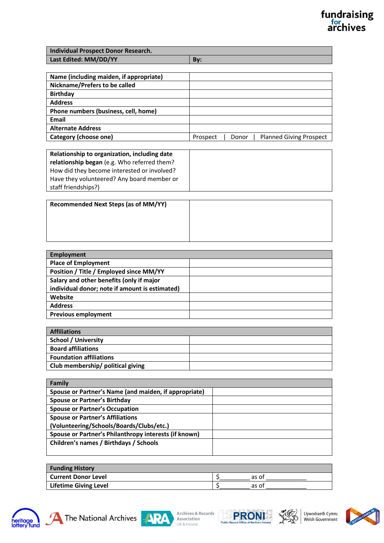## fundraising<br>archives

| Individual Prospect Donor Research. |     |
|-------------------------------------|-----|
| Last Edited: MM/DD/YY               | Bv: |

| Name (including maiden, if appropriate) |                                                     |
|-----------------------------------------|-----------------------------------------------------|
| Nickname/Prefers to be called           |                                                     |
| <b>Birthday</b>                         |                                                     |
| <b>Address</b>                          |                                                     |
| Phone numbers (business, cell, home)    |                                                     |
| Email                                   |                                                     |
| <b>Alternate Address</b>                |                                                     |
| Category (choose one)                   | <b>Planned Giving Prospect</b><br>Donor<br>Prospect |

| Relationship to organization, including date |
|----------------------------------------------|
| relationship began (e.g. Who referred them?  |
| How did they become interested or involved?  |
| Have they volunteered? Any board member or   |
| staff friendships?)                          |

| <b>Recommended Next Steps (as of MM/YY)</b> |  |
|---------------------------------------------|--|
|                                             |  |
|                                             |  |
|                                             |  |

| Employment                                     |  |
|------------------------------------------------|--|
| <b>Place of Employment</b>                     |  |
| Position / Title / Employed since MM/YY        |  |
| Salary and other benefits (only if major       |  |
| individual donor; note if amount is estimated) |  |
| Website                                        |  |
| <b>Address</b>                                 |  |
| <b>Previous employment</b>                     |  |

| <b>Affiliations</b>               |  |
|-----------------------------------|--|
| <b>School / University</b>        |  |
| <b>Board affiliations</b>         |  |
| <b>Foundation affiliations</b>    |  |
| Club membership/ political giving |  |

| Family                                                |  |
|-------------------------------------------------------|--|
| Spouse or Partner's Name (and maiden, if appropriate) |  |
| <b>Spouse or Partner's Birthday</b>                   |  |
| <b>Spouse or Partner's Occupation</b>                 |  |
| <b>Spouse or Partner's Affiliations</b>               |  |
| (Volunteering/Schools/Boards/Clubs/etc.)              |  |
| Spouse or Partner's Philanthropy interests (if known) |  |
| Children's names / Birthdays / Schools                |  |
|                                                       |  |

| <b>Funding History</b>       |       |
|------------------------------|-------|
| <b>Current Donor Level</b>   | as of |
| <b>Lifetime Giving Level</b> | as of |